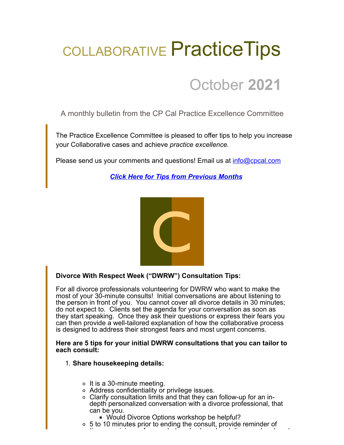# COLLABORATIVE Practice Tips

# October **2021**

A monthly bulletin from the CP Cal Practice Excellence Committee

The Practice Excellence Committee is pleased to offer tips to help you increase your Collaborative cases and achieve *practice excellence.*

Please send us your comments and questions! Email us at [info@cpcal.com](mailto:info@cpcal.com)

*[Click Here for Tips from Previous Months](https://www.cpcal.com/resources/practice-tips-newsletter/)*



# **Divorce With Respect Week ("DWRW") Consultation Tips:**

For all divorce professionals volunteering for DWRW who want to make the most of your 30-minute consults! Initial conversations are about listening to the person in front of you. You cannot cover all divorce details in 30 minutes; do not expect to. Clients set the agenda for your conversation as soon as they start speaking. Once they ask their questions or express their fears you can then provide a well-tailored explanation of how the collaborative process is designed to address their strongest fears and most urgent concerns.

#### **Here are 5 tips for your initial DWRW consultations that you can tailor to each consult:**

- 1. **Share housekeeping details:**
	- $\circ$  It is a 30-minute meeting.
	- Address confidentiality or privilege issues.
	- Clarify consultation limits and that they can follow-up for an indepth personalized conversation with a divorce professional, that can be you.
		- Would Divorce Options workshop be helpful?
	- 5 to 10 minutes prior to ending the consult, provide reminder of ti i i f h t ' h d d di d d t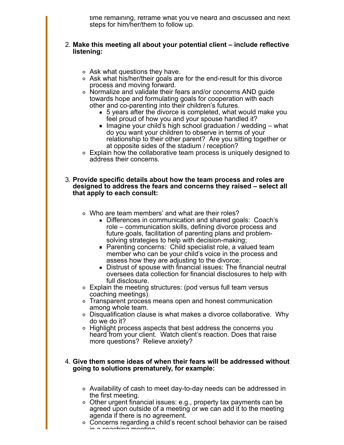time remaining, reframe what you've heard and discussed and next steps for him/her/them to follow up.

#### 2. **Make this meeting all about your potential client – include reflective listening:**

- $\circ$  Ask what questions they have.
- Ask what his/her/their goals are for the end-result for this divorce process and moving forward.
- Normalize and validate their fears and/or concerns AND guide towards hope and formulating goals for cooperation with each other and co-parenting into their children's futures.
	- 5 years after the divorce is completed, what would make you feel proud of how you and your spouse handled it?
	- Imagine your child's high school graduation / wedding what do you want your children to observe in terms of your relationship to their other parent? Are you sitting together or at opposite sides of the stadium / reception?
- Explain how the collaborative team process is uniquely designed to address their concerns.

#### 3. **Provide specific details about how the team process and roles are designed to address the fears and concerns they raised – select all that apply to each consult:**

- Who are team members' and what are their roles?
	- Differences in communication and shared goals: Coach's role – communication skills, defining divorce process and future goals, facilitation of parenting plans and problemsolving strategies to help with decision-making;
	- Parenting concerns: Child specialist role, a valued team member who can be your child's voice in the process and assess how they are adjusting to the divorce;
	- Distrust of spouse with financial issues: The financial neutral oversees data collection for financial disclosures to help with full disclosure.
- Explain the meeting structures: (pod versus full team versus coaching meetings).
- Transparent process means open and honest communication among whole team.
- Disqualification clause is what makes a divorce collaborative. Why do we do it?
- Highlight process aspects that best address the concerns you heard from your client. Watch client's reaction. Does that raise more questions? Relieve anxiety?

#### 4. **Give them some ideas of when their fears will be addressed without going to solutions prematurely, for example:**

- Availability of cash to meet day-to-day needs can be addressed in the first meeting.
- Other urgent financial issues: e.g., property tax payments can be agreed upon outside of a meeting or we can add it to the meeting agenda if there is no agreement.
- ∘ Concerns regarding a child's recent school behavior can be raised in a coaching meeting